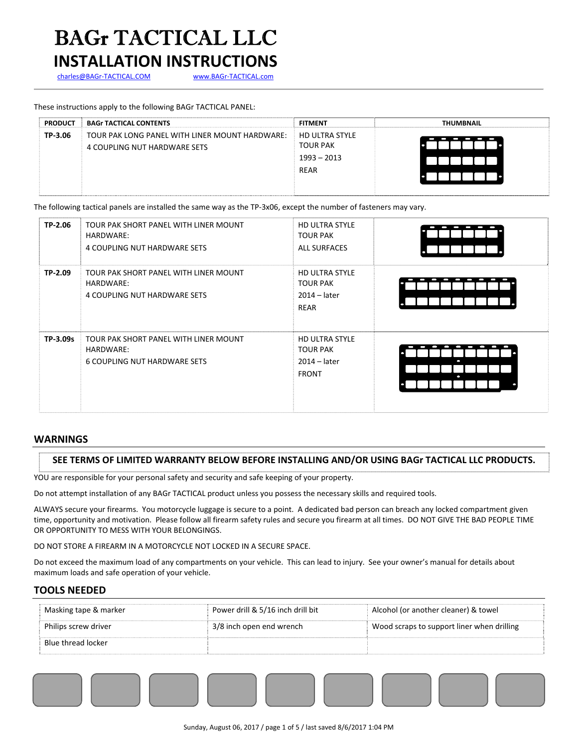# BAGr TACTICAL LLC

## **INSTALLATION INSTRUCTIONS**

charles@BAGr-TACTICAL.COM www.BAGr-TACTICAL.com

### These instructions apply to the following BAGr TACTICAL PANEL:

| <b>PRODUCT</b> | <b>BAGr TACTICAL CONTENTS</b>                  | <b>FITMENT</b>                           | <b>THUMBNAIL</b> |
|----------------|------------------------------------------------|------------------------------------------|------------------|
| TP-3.06        | TOUR PAK LONG PANEL WITH LINER MOUNT HARDWARE: | <b>HD ULTRA STYLE</b><br><b>TOUR PAK</b> |                  |
|                | 4 COUPLING NUT HARDWARE SETS                   | $1993 - 2013$                            |                  |
|                |                                                | REAR                                     |                  |
|                |                                                |                                          |                  |

The following tactical panels are installed the same way as the TP-3x06, except the number of fasteners may vary.

| TP-2.06  | TOUR PAK SHORT PANEL WITH LINER MOUNT<br>HARDWARE:<br>4 COUPLING NUT HARDWARE SETS        | <b>HD ULTRA STYLE</b><br><b>TOUR PAK</b><br><b>ALL SURFACES</b>            |   |
|----------|-------------------------------------------------------------------------------------------|----------------------------------------------------------------------------|---|
| TP-2.09  | TOUR PAK SHORT PANEL WITH LINER MOUNT<br>HARDWARE:<br>4 COUPLING NUT HARDWARE SETS        | <b>HD ULTRA STYLE</b><br><b>TOUR PAK</b><br>$2014 - later$<br>REAR         | Ċ |
| TP-3.09s | TOUR PAK SHORT PANEL WITH LINER MOUNT<br>HARDWARE:<br><b>6 COUPLING NUT HARDWARE SETS</b> | <b>HD ULTRA STYLE</b><br><b>TOUR PAK</b><br>$2014 - later$<br><b>FRONT</b> | O |

#### **WARNINGS**

#### **SEE TERMS OF LIMITED WARRANTY BELOW BEFORE INSTALLING AND/OR USING BAGr TACTICAL LLC PRODUCTS.**

YOU are responsible for your personal safety and security and safe keeping of your property.

Do not attempt installation of any BAGr TACTICAL product unless you possess the necessary skills and required tools.

ALWAYS secure your firearms. You motorcycle luggage is secure to a point. A dedicated bad person can breach any locked compartment given time, opportunity and motivation. Please follow all firearm safety rules and secure you firearm at all times. DO NOT GIVE THE BAD PEOPLE TIME OR OPPORTUNITY TO MESS WITH YOUR BELONGINGS.

DO NOT STORE A FIREARM IN A MOTORCYCLE NOT LOCKED IN A SECURE SPACE.

Do not exceed the maximum load of any compartments on your vehicle. This can lead to injury. See your owner's manual for details about maximum loads and safe operation of your vehicle.

#### **TOOLS NEEDED**

| Masking tape & marker | Power drill & 5/16 inch drill bit | Alcohol (or another cleaner) & towel       |
|-----------------------|-----------------------------------|--------------------------------------------|
| Philips screw driver  | 3/8 inch open end wrench          | Wood scraps to support liner when drilling |
| Blue thread locker    |                                   |                                            |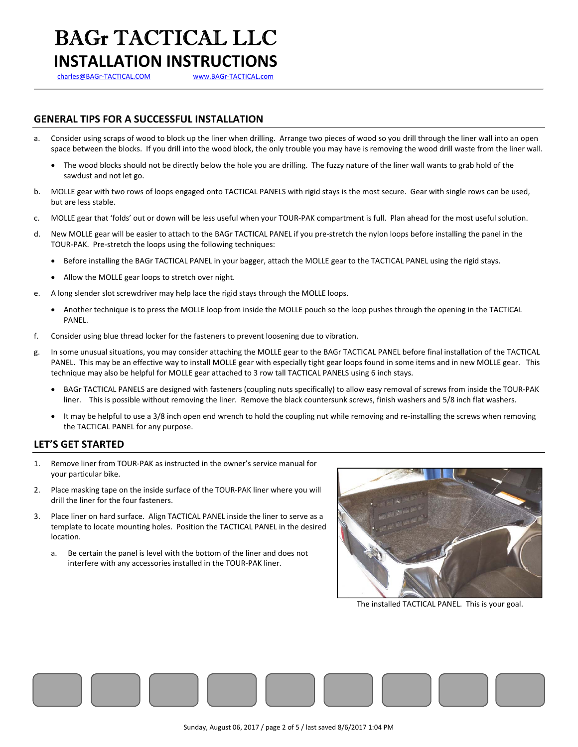# BAGr TACTICAL LLC **INSTALLATION INSTRUCTIONS**

charles@BAGr-TACTICAL.COM www.BAGr-TACTICAL.com

## **GENERAL TIPS FOR A SUCCESSFUL INSTALLATION**

- a. Consider using scraps of wood to block up the liner when drilling. Arrange two pieces of wood so you drill through the liner wall into an open space between the blocks. If you drill into the wood block, the only trouble you may have is removing the wood drill waste from the liner wall.
	- The wood blocks should not be directly below the hole you are drilling. The fuzzy nature of the liner wall wants to grab hold of the sawdust and not let go.
- b. MOLLE gear with two rows of loops engaged onto TACTICAL PANELS with rigid stays is the most secure. Gear with single rows can be used, but are less stable.
- c. MOLLE gear that 'folds' out or down will be less useful when your TOUR‐PAK compartment is full. Plan ahead for the most useful solution.
- d. New MOLLE gear will be easier to attach to the BAGr TACTICAL PANEL if you pre‐stretch the nylon loops before installing the panel in the TOUR‐PAK. Pre‐stretch the loops using the following techniques:
	- Before installing the BAGr TACTICAL PANEL in your bagger, attach the MOLLE gear to the TACTICAL PANEL using the rigid stays.
	- Allow the MOLLE gear loops to stretch over night.
- e. A long slender slot screwdriver may help lace the rigid stays through the MOLLE loops.
	- Another technique is to press the MOLLE loop from inside the MOLLE pouch so the loop pushes through the opening in the TACTICAL PANEL.
- f. Consider using blue thread locker for the fasteners to prevent loosening due to vibration.
- g. In some unusual situations, you may consider attaching the MOLLE gear to the BAGr TACTICAL PANEL before final installation of the TACTICAL PANEL. This may be an effective way to install MOLLE gear with especially tight gear loops found in some items and in new MOLLE gear. This technique may also be helpful for MOLLE gear attached to 3 row tall TACTICAL PANELS using 6 inch stays.
	- BAGr TACTICAL PANELS are designed with fasteners (coupling nuts specifically) to allow easy removal of screws from inside the TOUR‐PAK liner. This is possible without removing the liner. Remove the black countersunk screws, finish washers and 5/8 inch flat washers.
	- It may be helpful to use a 3/8 inch open end wrench to hold the coupling nut while removing and re-installing the screws when removing the TACTICAL PANEL for any purpose.

## **LET'S GET STARTED**

- 1. Remove liner from TOUR‐PAK as instructed in the owner's service manual for your particular bike.
- 2. Place masking tape on the inside surface of the TOUR‐PAK liner where you will drill the liner for the four fasteners.
- 3. Place liner on hard surface. Align TACTICAL PANEL inside the liner to serve as a template to locate mounting holes. Position the TACTICAL PANEL in the desired location.
	- a. Be certain the panel is level with the bottom of the liner and does not interfere with any accessories installed in the TOUR‐PAK liner.



The installed TACTICAL PANEL. This is your goal.

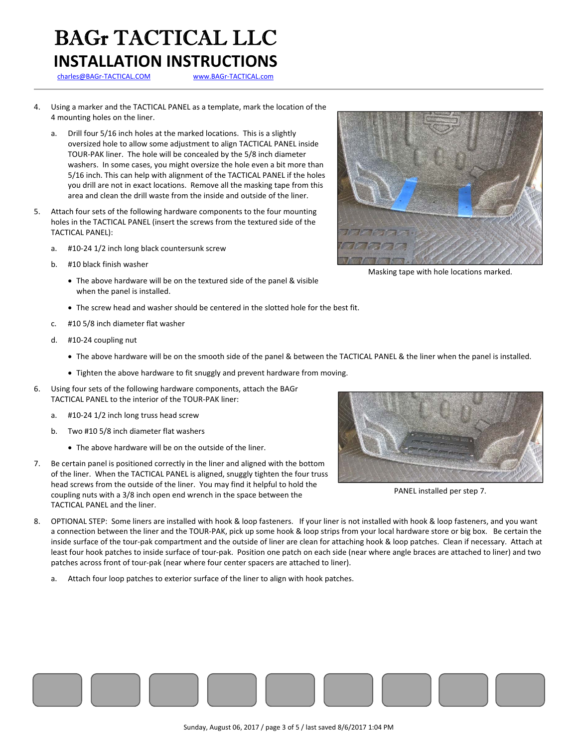# BAGr TACTICAL LLC **INSTALLATION INSTRUCTIONS**

charles@BAGr‐TACTICAL.COM www.BAGr‐TACTICAL.com

- 4. Using a marker and the TACTICAL PANEL as a template, mark the location of the 4 mounting holes on the liner.
	- Drill four 5/16 inch holes at the marked locations. This is a slightly oversized hole to allow some adjustment to align TACTICAL PANEL inside TOUR‐PAK liner. The hole will be concealed by the 5/8 inch diameter washers. In some cases, you might oversize the hole even a bit more than 5/16 inch. This can help with alignment of the TACTICAL PANEL if the holes you drill are not in exact locations. Remove all the masking tape from this area and clean the drill waste from the inside and outside of the liner.
- 5. Attach four sets of the following hardware components to the four mounting holes in the TACTICAL PANEL (insert the screws from the textured side of the TACTICAL PANEL):
	- a. #10‐24 1/2 inch long black countersunk screw
	- b. #10 black finish washer
		- The above hardware will be on the textured side of the panel & visible when the panel is installed.
		- The screw head and washer should be centered in the slotted hole for the best fit.
	- c. #10 5/8 inch diameter flat washer
	- d. #10‐24 coupling nut
		- The above hardware will be on the smooth side of the panel & between the TACTICAL PANEL & the liner when the panel is installed.
		- Tighten the above hardware to fit snuggly and prevent hardware from moving.
- 6. Using four sets of the following hardware components, attach the BAGr TACTICAL PANEL to the interior of the TOUR‐PAK liner:
	- a. #10‐24 1/2 inch long truss head screw
	- b. Two #10 5/8 inch diameter flat washers
		- The above hardware will be on the outside of the liner.
- 7. Be certain panel is positioned correctly in the liner and aligned with the bottom of the liner. When the TACTICAL PANEL is aligned, snuggly tighten the four truss head screws from the outside of the liner. You may find it helpful to hold the coupling nuts with a 3/8 inch open end wrench in the space between the TACTICAL PANEL and the liner.



a. Attach four loop patches to exterior surface of the liner to align with hook patches.



Masking tape with hole locations marked.



PANEL installed per step 7.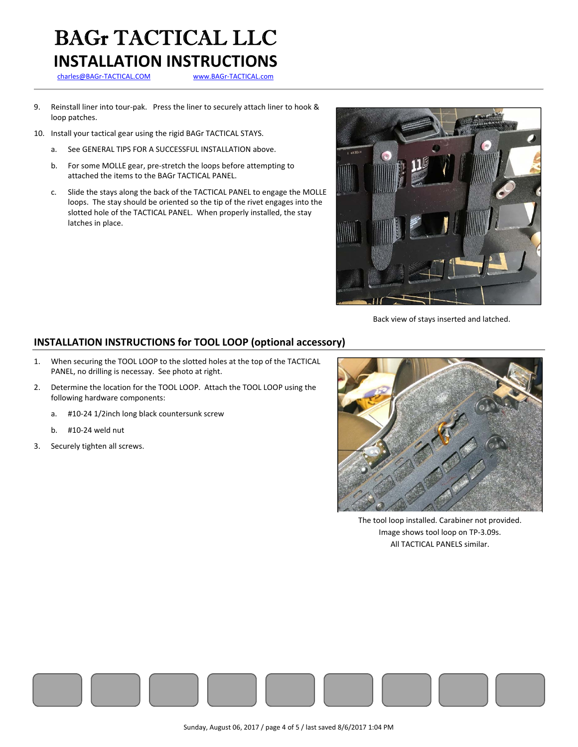# BAGr TACTICAL LLC **INSTALLATION INSTRUCTIONS**

charles@BAGr-TACTICAL.COM www.BAGr-TACTICAL.com

- 9. Reinstall liner into tour-pak. Press the liner to securely attach liner to hook & loop patches.
- 10. Install your tactical gear using the rigid BAGr TACTICAL STAYS.
	- a. See GENERAL TIPS FOR A SUCCESSFUL INSTALLATION above.
	- b. For some MOLLE gear, pre‐stretch the loops before attempting to attached the items to the BAGr TACTICAL PANEL.
	- c. Slide the stays along the back of the TACTICAL PANEL to engage the MOLLE loops. The stay should be oriented so the tip of the rivet engages into the slotted hole of the TACTICAL PANEL. When properly installed, the stay latches in place.



Back view of stays inserted and latched.

## **INSTALLATION INSTRUCTIONS for TOOL LOOP (optional accessory)**

- 1. When securing the TOOL LOOP to the slotted holes at the top of the TACTICAL PANEL, no drilling is necessay. See photo at right.
- 2. Determine the location for the TOOL LOOP. Attach the TOOL LOOP using the following hardware components:
	- a. #10‐24 1/2inch long black countersunk screw
	- b. #10‐24 weld nut
- 3. Securely tighten all screws.



The tool loop installed. Carabiner not provided. Image shows tool loop on TP‐3.09s. All TACTICAL PANELS similar.